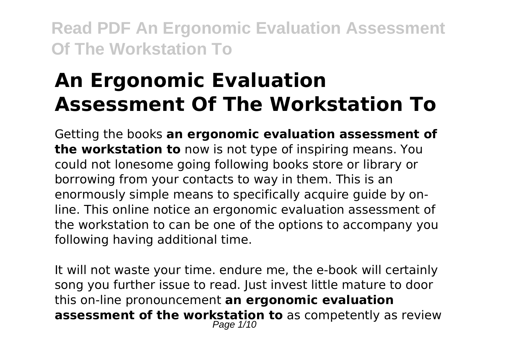# **An Ergonomic Evaluation Assessment Of The Workstation To**

Getting the books **an ergonomic evaluation assessment of the workstation to** now is not type of inspiring means. You could not lonesome going following books store or library or borrowing from your contacts to way in them. This is an enormously simple means to specifically acquire guide by online. This online notice an ergonomic evaluation assessment of the workstation to can be one of the options to accompany you following having additional time.

It will not waste your time. endure me, the e-book will certainly song you further issue to read. Just invest little mature to door this on-line pronouncement **an ergonomic evaluation assessment of the workstation to** as competently as review Page  $1/10$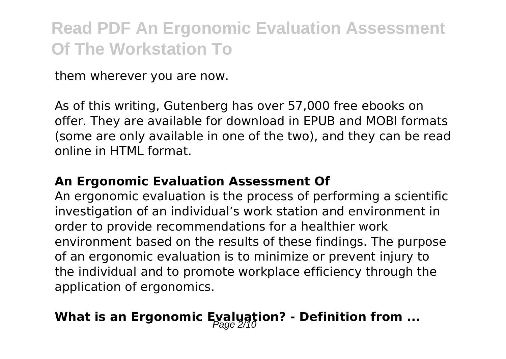them wherever you are now.

As of this writing, Gutenberg has over 57,000 free ebooks on offer. They are available for download in EPUB and MOBI formats (some are only available in one of the two), and they can be read online in HTML format.

#### **An Ergonomic Evaluation Assessment Of**

An ergonomic evaluation is the process of performing a scientific investigation of an individual's work station and environment in order to provide recommendations for a healthier work environment based on the results of these findings. The purpose of an ergonomic evaluation is to minimize or prevent injury to the individual and to promote workplace efficiency through the application of ergonomics.

### **What is an Ergonomic Evaluation? - Definition from ...**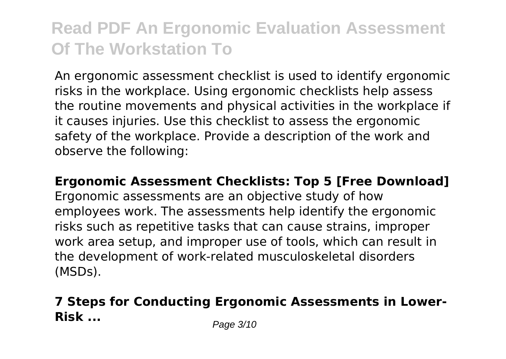An ergonomic assessment checklist is used to identify ergonomic risks in the workplace. Using ergonomic checklists help assess the routine movements and physical activities in the workplace if it causes injuries. Use this checklist to assess the ergonomic safety of the workplace. Provide a description of the work and observe the following:

**Ergonomic Assessment Checklists: Top 5 [Free Download]** Ergonomic assessments are an objective study of how employees work. The assessments help identify the ergonomic risks such as repetitive tasks that can cause strains, improper work area setup, and improper use of tools, which can result in the development of work-related musculoskeletal disorders (MSDs).

### **7 Steps for Conducting Ergonomic Assessments in Lower-Risk ...** Page 3/10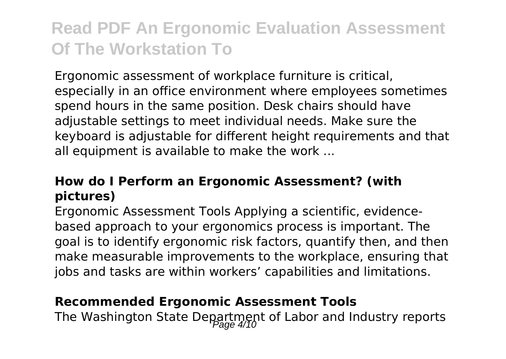Ergonomic assessment of workplace furniture is critical, especially in an office environment where employees sometimes spend hours in the same position. Desk chairs should have adjustable settings to meet individual needs. Make sure the keyboard is adjustable for different height requirements and that all equipment is available to make the work ...

#### **How do I Perform an Ergonomic Assessment? (with pictures)**

Ergonomic Assessment Tools Applying a scientific, evidencebased approach to your ergonomics process is important. The goal is to identify ergonomic risk factors, quantify then, and then make measurable improvements to the workplace, ensuring that jobs and tasks are within workers' capabilities and limitations.

#### **Recommended Ergonomic Assessment Tools**

The Washington State Department of Labor and Industry reports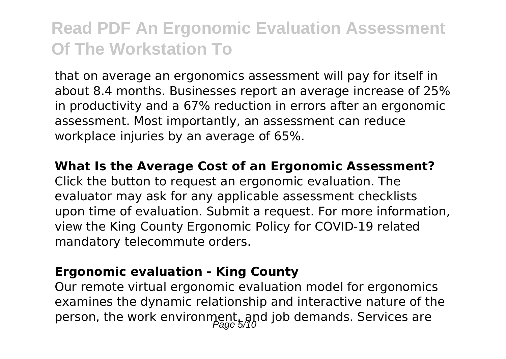that on average an ergonomics assessment will pay for itself in about 8.4 months. Businesses report an average increase of 25% in productivity and a 67% reduction in errors after an ergonomic assessment. Most importantly, an assessment can reduce workplace injuries by an average of 65%.

#### **What Is the Average Cost of an Ergonomic Assessment?**

Click the button to request an ergonomic evaluation. The evaluator may ask for any applicable assessment checklists upon time of evaluation. Submit a request. For more information, view the King County Ergonomic Policy for COVID-19 related mandatory telecommute orders.

#### **Ergonomic evaluation - King County**

Our remote virtual ergonomic evaluation model for ergonomics examines the dynamic relationship and interactive nature of the person, the work environment, and job demands. Services are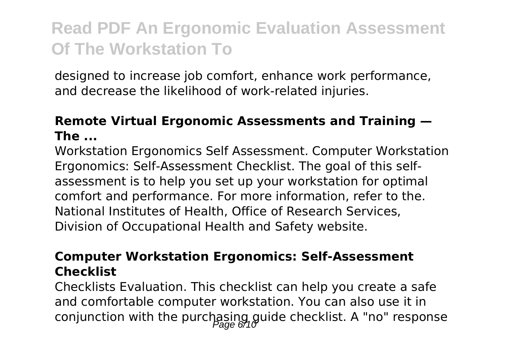designed to increase job comfort, enhance work performance, and decrease the likelihood of work-related injuries.

#### **Remote Virtual Ergonomic Assessments and Training — The ...**

Workstation Ergonomics Self Assessment. Computer Workstation Ergonomics: Self-Assessment Checklist. The goal of this selfassessment is to help you set up your workstation for optimal comfort and performance. For more information, refer to the. National Institutes of Health, Office of Research Services, Division of Occupational Health and Safety website.

#### **Computer Workstation Ergonomics: Self-Assessment Checklist**

Checklists Evaluation. This checklist can help you create a safe and comfortable computer workstation. You can also use it in conjunction with the purchasing guide checklist. A "no" response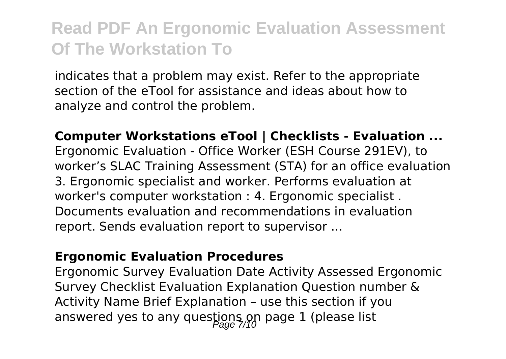indicates that a problem may exist. Refer to the appropriate section of the eTool for assistance and ideas about how to analyze and control the problem.

**Computer Workstations eTool | Checklists - Evaluation ...** Ergonomic Evaluation - Office Worker (ESH Course 291EV), to worker's SLAC Training Assessment (STA) for an office evaluation 3. Ergonomic specialist and worker. Performs evaluation at worker's computer workstation : 4. Ergonomic specialist . Documents evaluation and recommendations in evaluation report. Sends evaluation report to supervisor ...

#### **Ergonomic Evaluation Procedures**

Ergonomic Survey Evaluation Date Activity Assessed Ergonomic Survey Checklist Evaluation Explanation Question number & Activity Name Brief Explanation – use this section if you answered yes to any questions on page 1 (please list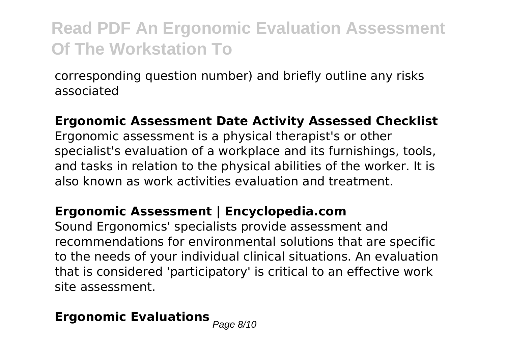corresponding question number) and briefly outline any risks associated

#### **Ergonomic Assessment Date Activity Assessed Checklist**

Ergonomic assessment is a physical therapist's or other specialist's evaluation of a workplace and its furnishings, tools, and tasks in relation to the physical abilities of the worker. It is also known as work activities evaluation and treatment.

#### **Ergonomic Assessment | Encyclopedia.com**

Sound Ergonomics' specialists provide assessment and recommendations for environmental solutions that are specific to the needs of your individual clinical situations. An evaluation that is considered 'participatory' is critical to an effective work site assessment.

# **Ergonomic Evaluations Page 8/10**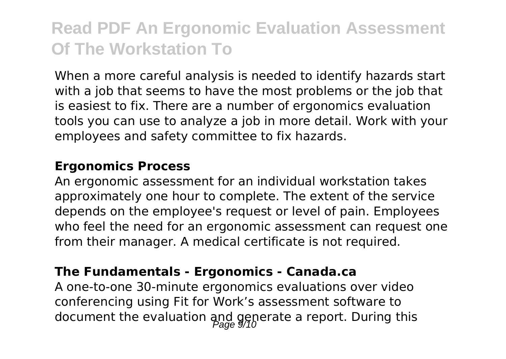When a more careful analysis is needed to identify hazards start with a job that seems to have the most problems or the job that is easiest to fix. There are a number of ergonomics evaluation tools you can use to analyze a job in more detail. Work with your employees and safety committee to fix hazards.

#### **Ergonomics Process**

An ergonomic assessment for an individual workstation takes approximately one hour to complete. The extent of the service depends on the employee's request or level of pain. Employees who feel the need for an ergonomic assessment can request one from their manager. A medical certificate is not required.

#### **The Fundamentals - Ergonomics - Canada.ca**

A one-to-one 30-minute ergonomics evaluations over video conferencing using Fit for Work's assessment software to document the evaluation and generate a report. During this